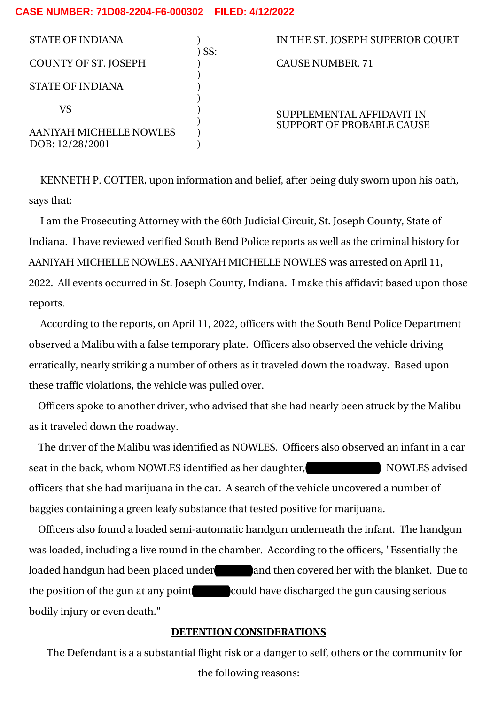## **CASE NUMBER: 71D08-2204-F6-000302 FILED: 4/12/2022**

| <b>STATE OF INDIANA</b>                    | SS: | IN THE ST. JOSEPH SUPERIOR COURT |
|--------------------------------------------|-----|----------------------------------|
| <b>COUNTY OF ST. JOSEPH</b>                |     | <b>CAUSE NUMBER, 71</b>          |
| <b>STATE OF INDIANA</b>                    |     |                                  |
| VS                                         |     | SUPPLEMENTAL AFFIDAVIT IN        |
| AANIYAH MICHELLE NOWLES<br>DOB: 12/28/2001 |     | <b>SUPPORT OF PROBABLE CAUSE</b> |

KENNETH P. COTTER, upon information and belief, after being duly sworn upon his oath, says that:

I am the Prosecuting Attorney with the 60th Judicial Circuit, St. Joseph County, State of Indiana. I have reviewed verified South Bend Police reports as well as the criminal history for AANIYAH MICHELLE NOWLES. AANIYAH MICHELLE NOWLES was arrested on April 11, 2022. All events occurred in St. Joseph County, Indiana. I make this affidavit based upon those reports.

According to the reports, on April 11, 2022, officers with the South Bend Police Department observed a Malibu with a false temporary plate. Officers also observed the vehicle driving erratically, nearly striking a number of others as it traveled down the roadway. Based upon these traffic violations, the vehicle was pulled over.

Officers spoke to another driver, who advised that she had nearly been struck by the Malibu as it traveled down the roadway.

The driver of the Malibu was identified as NOWLES. Officers also observed an infant in a car seat in the back, whom NOWLES identified as her daughter, NOWLES advised officers that she had marijuana in the car. A search of the vehicle uncovered a number of baggies containing a green leafy substance that tested positive for marijuana.

Officers also found a loaded semi-automatic handgun underneath the infant. The handgun was loaded, including a live round in the chamber. According to the officers, "Essentially the loaded handgun had been placed under and then covered her with the blanket. Due to the position of the gun at any point could have discharged the gun causing serious bodily injury or even death."

## **DETENTION CONSIDERATIONS**

The Defendant is a a substantial flight risk or a danger to self, others or the community for the following reasons: